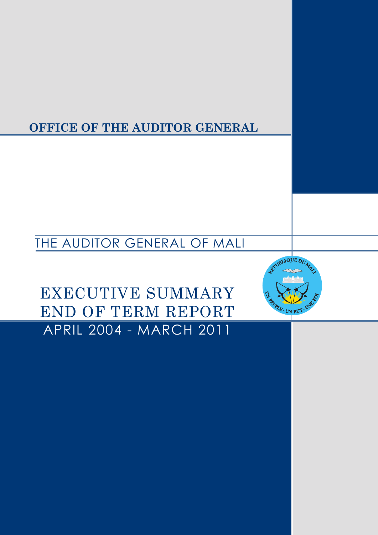**OFFICE OF THE AUDITOR GENERAL**

THE AUDITOR GENERAL OF MALI

**ANNEXES** APRIL 2004 - MARCH 2011 EXECUTIVE SUMMARY END OF TERM REPORT

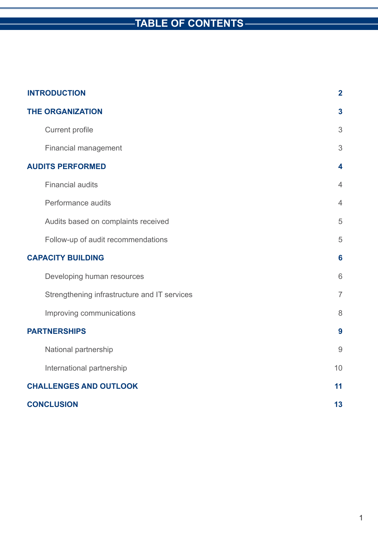# **TABLE OF CONTENTS**

| <b>INTRODUCTION</b>           |                                              | $\overline{2}$ |
|-------------------------------|----------------------------------------------|----------------|
| <b>THE ORGANIZATION</b>       |                                              | 3              |
|                               | <b>Current profile</b>                       | 3              |
|                               | <b>Financial management</b>                  | 3              |
| <b>AUDITS PERFORMED</b>       |                                              | 4              |
|                               | <b>Financial audits</b>                      | $\overline{4}$ |
|                               | Performance audits                           | $\overline{4}$ |
|                               | Audits based on complaints received          | 5              |
|                               | Follow-up of audit recommendations           | 5              |
| <b>CAPACITY BUILDING</b>      |                                              | 6              |
|                               | Developing human resources                   | 6              |
|                               | Strengthening infrastructure and IT services | $\overline{7}$ |
|                               | Improving communications                     | 8              |
| <b>PARTNERSHIPS</b>           |                                              | 9              |
|                               | National partnership                         | 9              |
|                               | International partnership                    | 10             |
| <b>CHALLENGES AND OUTLOOK</b> |                                              | 11             |
| <b>CONCLUSION</b>             |                                              | 13             |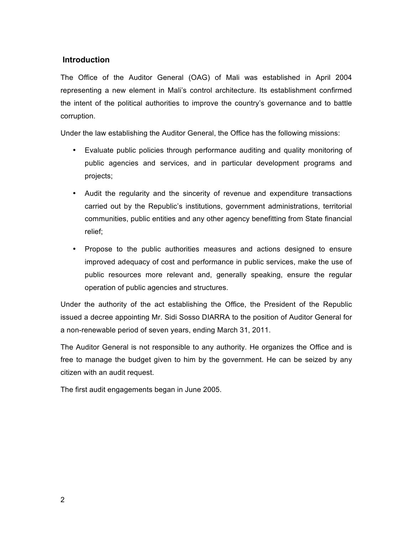# **Introduction**

The Office of the Auditor General (OAG) of Mali was established in April 2004 representing a new element in Mali's control architecture. Its establishment confirmed the intent of the political authorities to improve the country's governance and to battle corruption.

Under the law establishing the Auditor General, the Office has the following missions:

- Evaluate public policies through performance auditing and quality monitoring of public agencies and services, and in particular development programs and projects;
- Audit the regularity and the sincerity of revenue and expenditure transactions carried out by the Republic's institutions, government administrations, territorial communities, public entities and any other agency benefitting from State financial relief;
- Propose to the public authorities measures and actions designed to ensure improved adequacy of cost and performance in public services, make the use of public resources more relevant and, generally speaking, ensure the regular operation of public agencies and structures.

Under the authority of the act establishing the Office, the President of the Republic issued a decree appointing Mr. Sidi Sosso DIARRA to the position of Auditor General for a non-renewable period of seven years, ending March 31, 2011.

The Auditor General is not responsible to any authority. He organizes the Office and is free to manage the budget given to him by the government. He can be seized by any citizen with an audit request.

The first audit engagements began in June 2005.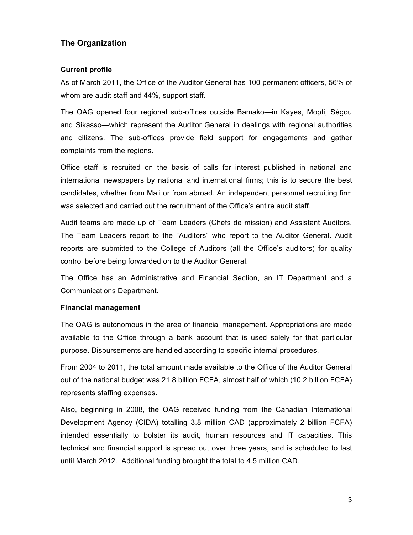# **The Organization**

# **Current profile**

As of March 2011, the Office of the Auditor General has 100 permanent officers, 56% of whom are audit staff and 44%, support staff.

The OAG opened four regional sub-offices outside Bamako—in Kayes, Mopti, Ségou and Sikasso—which represent the Auditor General in dealings with regional authorities and citizens. The sub-offices provide field support for engagements and gather complaints from the regions.

Office staff is recruited on the basis of calls for interest published in national and international newspapers by national and international firms; this is to secure the best candidates, whether from Mali or from abroad. An independent personnel recruiting firm was selected and carried out the recruitment of the Office's entire audit staff.

Audit teams are made up of Team Leaders (Chefs de mission) and Assistant Auditors. The Team Leaders report to the "Auditors" who report to the Auditor General. Audit reports are submitted to the College of Auditors (all the Office's auditors) for quality control before being forwarded on to the Auditor General.

The Office has an Administrative and Financial Section, an IT Department and a Communications Department.

### **Financial management**

The OAG is autonomous in the area of financial management. Appropriations are made available to the Office through a bank account that is used solely for that particular purpose. Disbursements are handled according to specific internal procedures.

From 2004 to 2011, the total amount made available to the Office of the Auditor General out of the national budget was 21.8 billion FCFA, almost half of which (10.2 billion FCFA) represents staffing expenses.

Also, beginning in 2008, the OAG received funding from the Canadian International Development Agency (CIDA) totalling 3.8 million CAD (approximately 2 billion FCFA) intended essentially to bolster its audit, human resources and IT capacities. This technical and financial support is spread out over three years, and is scheduled to last until March 2012. Additional funding brought the total to 4.5 million CAD.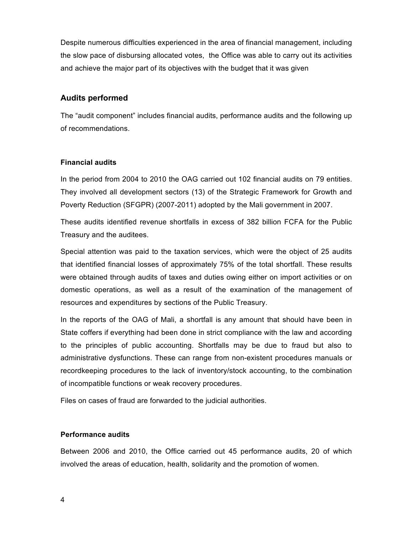Despite numerous difficulties experienced in the area of financial management, including the slow pace of disbursing allocated votes, the Office was able to carry out its activities and achieve the major part of its objectives with the budget that it was given

# **Audits performed**

The "audit component" includes financial audits, performance audits and the following up of recommendations.

# **Financial audits**

In the period from 2004 to 2010 the OAG carried out 102 financial audits on 79 entities. They involved all development sectors (13) of the Strategic Framework for Growth and Poverty Reduction (SFGPR) (2007-2011) adopted by the Mali government in 2007.

These audits identified revenue shortfalls in excess of 382 billion FCFA for the Public Treasury and the auditees.

Special attention was paid to the taxation services, which were the object of 25 audits that identified financial losses of approximately 75% of the total shortfall. These results were obtained through audits of taxes and duties owing either on import activities or on domestic operations, as well as a result of the examination of the management of resources and expenditures by sections of the Public Treasury.

In the reports of the OAG of Mali, a shortfall is any amount that should have been in State coffers if everything had been done in strict compliance with the law and according to the principles of public accounting. Shortfalls may be due to fraud but also to administrative dysfunctions. These can range from non-existent procedures manuals or recordkeeping procedures to the lack of inventory/stock accounting, to the combination of incompatible functions or weak recovery procedures.

Files on cases of fraud are forwarded to the judicial authorities.

# **Performance audits**

Between 2006 and 2010, the Office carried out 45 performance audits, 20 of which involved the areas of education, health, solidarity and the promotion of women.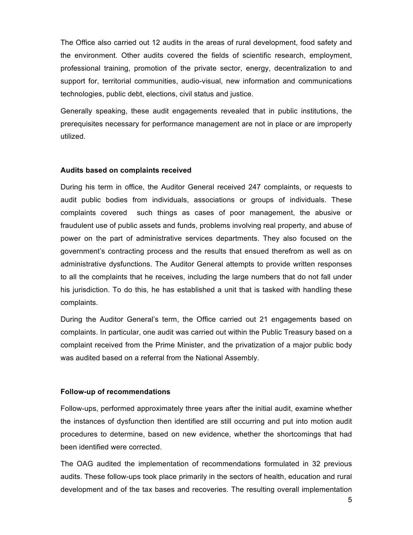The Office also carried out 12 audits in the areas of rural development, food safety and the environment. Other audits covered the fields of scientific research, employment, professional training, promotion of the private sector, energy, decentralization to and support for, territorial communities, audio-visual, new information and communications technologies, public debt, elections, civil status and justice.

Generally speaking, these audit engagements revealed that in public institutions, the prerequisites necessary for performance management are not in place or are improperly utilized.

### **Audits based on complaints received**

During his term in office, the Auditor General received 247 complaints, or requests to audit public bodies from individuals, associations or groups of individuals. These complaints covered such things as cases of poor management, the abusive or fraudulent use of public assets and funds, problems involving real property, and abuse of power on the part of administrative services departments. They also focused on the government's contracting process and the results that ensued therefrom as well as on administrative dysfunctions. The Auditor General attempts to provide written responses to all the complaints that he receives, including the large numbers that do not fall under his jurisdiction. To do this, he has established a unit that is tasked with handling these complaints.

During the Auditor General's term, the Office carried out 21 engagements based on complaints. In particular, one audit was carried out within the Public Treasury based on a complaint received from the Prime Minister, and the privatization of a major public body was audited based on a referral from the National Assembly.

### **Follow-up of recommendations**

Follow-ups, performed approximately three years after the initial audit, examine whether the instances of dysfunction then identified are still occurring and put into motion audit procedures to determine, based on new evidence, whether the shortcomings that had been identified were corrected.

The OAG audited the implementation of recommendations formulated in 32 previous audits. These follow-ups took place primarily in the sectors of health, education and rural development and of the tax bases and recoveries. The resulting overall implementation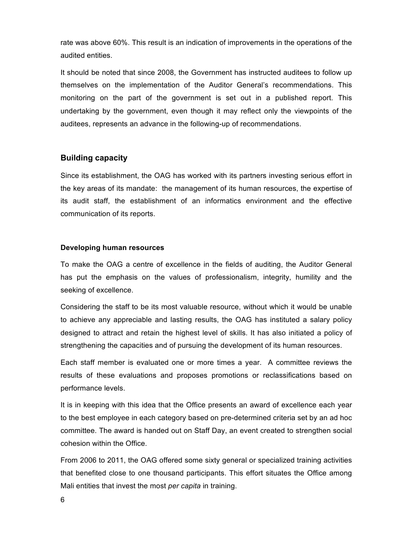rate was above 60%. This result is an indication of improvements in the operations of the audited entities.

It should be noted that since 2008, the Government has instructed auditees to follow up themselves on the implementation of the Auditor General's recommendations. This monitoring on the part of the government is set out in a published report. This undertaking by the government, even though it may reflect only the viewpoints of the auditees, represents an advance in the following-up of recommendations.

# **Building capacity**

Since its establishment, the OAG has worked with its partners investing serious effort in the key areas of its mandate: the management of its human resources, the expertise of its audit staff, the establishment of an informatics environment and the effective communication of its reports.

## **Developing human resources**

To make the OAG a centre of excellence in the fields of auditing, the Auditor General has put the emphasis on the values of professionalism, integrity, humility and the seeking of excellence.

Considering the staff to be its most valuable resource, without which it would be unable to achieve any appreciable and lasting results, the OAG has instituted a salary policy designed to attract and retain the highest level of skills. It has also initiated a policy of strengthening the capacities and of pursuing the development of its human resources.

Each staff member is evaluated one or more times a year. A committee reviews the results of these evaluations and proposes promotions or reclassifications based on performance levels.

It is in keeping with this idea that the Office presents an award of excellence each year to the best employee in each category based on pre-determined criteria set by an ad hoc committee. The award is handed out on Staff Day, an event created to strengthen social cohesion within the Office.

From 2006 to 2011, the OAG offered some sixty general or specialized training activities that benefited close to one thousand participants. This effort situates the Office among Mali entities that invest the most *per capita* in training.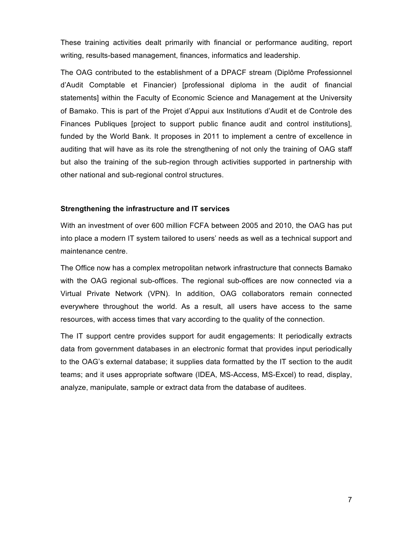These training activities dealt primarily with financial or performance auditing, report writing, results-based management, finances, informatics and leadership.

The OAG contributed to the establishment of a DPACF stream (Diplôme Professionnel d'Audit Comptable et Financier) [professional diploma in the audit of financial statements] within the Faculty of Economic Science and Management at the University of Bamako. This is part of the Projet d'Appui aux Institutions d'Audit et de Controle des Finances Publiques [project to support public finance audit and control institutions], funded by the World Bank. It proposes in 2011 to implement a centre of excellence in auditing that will have as its role the strengthening of not only the training of OAG staff but also the training of the sub-region through activities supported in partnership with other national and sub-regional control structures.

### **Strengthening the infrastructure and IT services**

With an investment of over 600 million FCFA between 2005 and 2010, the OAG has put into place a modern IT system tailored to users' needs as well as a technical support and maintenance centre.

The Office now has a complex metropolitan network infrastructure that connects Bamako with the OAG regional sub-offices. The regional sub-offices are now connected via a Virtual Private Network (VPN). In addition, OAG collaborators remain connected everywhere throughout the world. As a result, all users have access to the same resources, with access times that vary according to the quality of the connection.

The IT support centre provides support for audit engagements: It periodically extracts data from government databases in an electronic format that provides input periodically to the OAG's external database; it supplies data formatted by the IT section to the audit teams; and it uses appropriate software (IDEA, MS-Access, MS-Excel) to read, display, analyze, manipulate, sample or extract data from the database of auditees.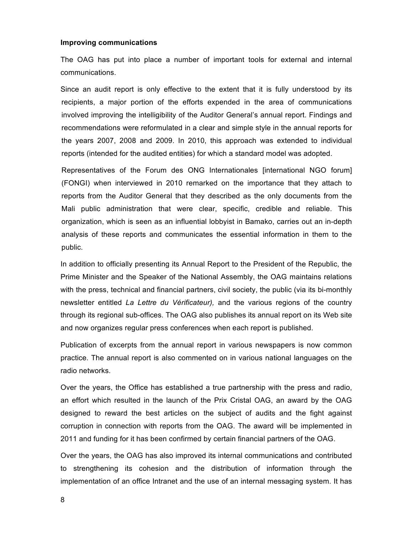#### **Improving communications**

The OAG has put into place a number of important tools for external and internal communications.

Since an audit report is only effective to the extent that it is fully understood by its recipients, a major portion of the efforts expended in the area of communications involved improving the intelligibility of the Auditor General's annual report. Findings and recommendations were reformulated in a clear and simple style in the annual reports for the years 2007, 2008 and 2009. In 2010, this approach was extended to individual reports (intended for the audited entities) for which a standard model was adopted.

Representatives of the Forum des ONG Internationales [international NGO forum] (FONGI) when interviewed in 2010 remarked on the importance that they attach to reports from the Auditor General that they described as the only documents from the Mali public administration that were clear, specific, credible and reliable. This organization, which is seen as an influential lobbyist in Bamako, carries out an in-depth analysis of these reports and communicates the essential information in them to the public.

In addition to officially presenting its Annual Report to the President of the Republic, the Prime Minister and the Speaker of the National Assembly, the OAG maintains relations with the press, technical and financial partners, civil society, the public (via its bi-monthly newsletter entitled *La Lettre du Vérificateur),* and the various regions of the country through its regional sub-offices. The OAG also publishes its annual report on its Web site and now organizes regular press conferences when each report is published.

Publication of excerpts from the annual report in various newspapers is now common practice. The annual report is also commented on in various national languages on the radio networks.

Over the years, the Office has established a true partnership with the press and radio, an effort which resulted in the launch of the Prix Cristal OAG, an award by the OAG designed to reward the best articles on the subject of audits and the fight against corruption in connection with reports from the OAG. The award will be implemented in 2011 and funding for it has been confirmed by certain financial partners of the OAG.

Over the years, the OAG has also improved its internal communications and contributed to strengthening its cohesion and the distribution of information through the implementation of an office Intranet and the use of an internal messaging system. It has

8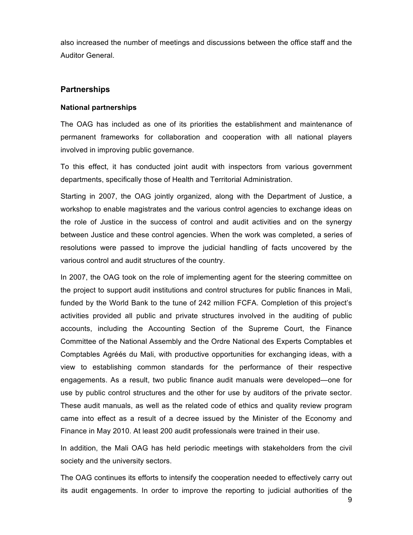also increased the number of meetings and discussions between the office staff and the Auditor General.

# **Partnerships**

# **National partnerships**

The OAG has included as one of its priorities the establishment and maintenance of permanent frameworks for collaboration and cooperation with all national players involved in improving public governance.

To this effect, it has conducted joint audit with inspectors from various government departments, specifically those of Health and Territorial Administration.

Starting in 2007, the OAG jointly organized, along with the Department of Justice, a workshop to enable magistrates and the various control agencies to exchange ideas on the role of Justice in the success of control and audit activities and on the synergy between Justice and these control agencies. When the work was completed, a series of resolutions were passed to improve the judicial handling of facts uncovered by the various control and audit structures of the country.

In 2007, the OAG took on the role of implementing agent for the steering committee on the project to support audit institutions and control structures for public finances in Mali, funded by the World Bank to the tune of 242 million FCFA. Completion of this project's activities provided all public and private structures involved in the auditing of public accounts, including the Accounting Section of the Supreme Court, the Finance Committee of the National Assembly and the Ordre National des Experts Comptables et Comptables Agréés du Mali, with productive opportunities for exchanging ideas, with a view to establishing common standards for the performance of their respective engagements. As a result, two public finance audit manuals were developed—one for use by public control structures and the other for use by auditors of the private sector. These audit manuals, as well as the related code of ethics and quality review program came into effect as a result of a decree issued by the Minister of the Economy and Finance in May 2010. At least 200 audit professionals were trained in their use.

In addition, the Mali OAG has held periodic meetings with stakeholders from the civil society and the university sectors.

The OAG continues its efforts to intensify the cooperation needed to effectively carry out its audit engagements. In order to improve the reporting to judicial authorities of the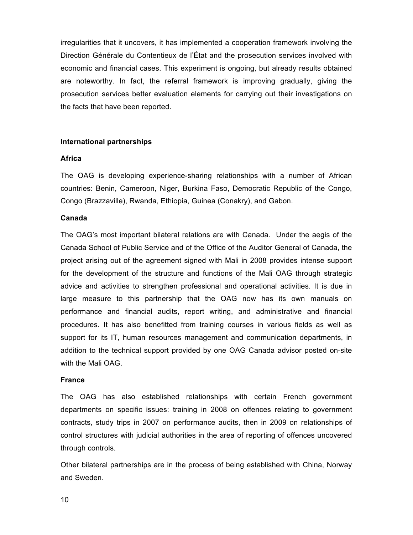irregularities that it uncovers, it has implemented a cooperation framework involving the Direction Générale du Contentieux de l'État and the prosecution services involved with economic and financial cases. This experiment is ongoing, but already results obtained are noteworthy. In fact, the referral framework is improving gradually, giving the prosecution services better evaluation elements for carrying out their investigations on the facts that have been reported.

#### **International partnerships**

#### **Africa**

The OAG is developing experience-sharing relationships with a number of African countries: Benin, Cameroon, Niger, Burkina Faso, Democratic Republic of the Congo, Congo (Brazzaville), Rwanda, Ethiopia, Guinea (Conakry), and Gabon.

#### **Canada**

The OAG's most important bilateral relations are with Canada. Under the aegis of the Canada School of Public Service and of the Office of the Auditor General of Canada, the project arising out of the agreement signed with Mali in 2008 provides intense support for the development of the structure and functions of the Mali OAG through strategic advice and activities to strengthen professional and operational activities. It is due in large measure to this partnership that the OAG now has its own manuals on performance and financial audits, report writing, and administrative and financial procedures. It has also benefitted from training courses in various fields as well as support for its IT, human resources management and communication departments, in addition to the technical support provided by one OAG Canada advisor posted on-site with the Mali OAG.

#### **France**

The OAG has also established relationships with certain French government departments on specific issues: training in 2008 on offences relating to government contracts, study trips in 2007 on performance audits, then in 2009 on relationships of control structures with judicial authorities in the area of reporting of offences uncovered through controls.

Other bilateral partnerships are in the process of being established with China, Norway and Sweden.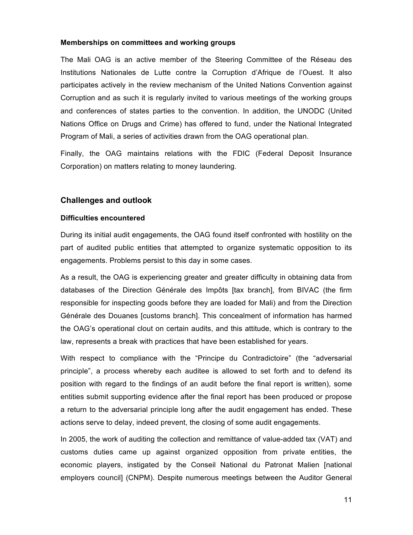#### **Memberships on committees and working groups**

The Mali OAG is an active member of the Steering Committee of the Réseau des Institutions Nationales de Lutte contre la Corruption d'Afrique de l'Ouest. It also participates actively in the review mechanism of the United Nations Convention against Corruption and as such it is regularly invited to various meetings of the working groups and conferences of states parties to the convention. In addition, the UNODC (United Nations Office on Drugs and Crime) has offered to fund, under the National Integrated Program of Mali, a series of activities drawn from the OAG operational plan.

Finally, the OAG maintains relations with the FDIC (Federal Deposit Insurance Corporation) on matters relating to money laundering.

## **Challenges and outlook**

#### **Difficulties encountered**

During its initial audit engagements, the OAG found itself confronted with hostility on the part of audited public entities that attempted to organize systematic opposition to its engagements. Problems persist to this day in some cases.

As a result, the OAG is experiencing greater and greater difficulty in obtaining data from databases of the Direction Générale des Impôts [tax branch], from BIVAC (the firm responsible for inspecting goods before they are loaded for Mali) and from the Direction Générale des Douanes [customs branch]. This concealment of information has harmed the OAG's operational clout on certain audits, and this attitude, which is contrary to the law, represents a break with practices that have been established for years.

With respect to compliance with the "Principe du Contradictoire" (the "adversarial principle", a process whereby each auditee is allowed to set forth and to defend its position with regard to the findings of an audit before the final report is written), some entities submit supporting evidence after the final report has been produced or propose a return to the adversarial principle long after the audit engagement has ended. These actions serve to delay, indeed prevent, the closing of some audit engagements.

In 2005, the work of auditing the collection and remittance of value-added tax (VAT) and customs duties came up against organized opposition from private entities, the economic players, instigated by the Conseil National du Patronat Malien [national employers council] (CNPM). Despite numerous meetings between the Auditor General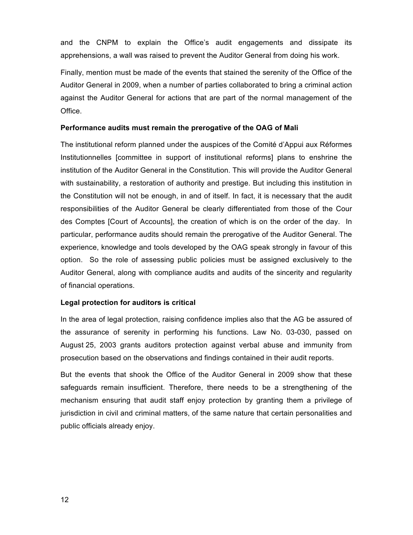and the CNPM to explain the Office's audit engagements and dissipate its apprehensions, a wall was raised to prevent the Auditor General from doing his work.

Finally, mention must be made of the events that stained the serenity of the Office of the Auditor General in 2009, when a number of parties collaborated to bring a criminal action against the Auditor General for actions that are part of the normal management of the Office.

### **Performance audits must remain the prerogative of the OAG of Mali**

The institutional reform planned under the auspices of the Comité d'Appui aux Réformes Institutionnelles [committee in support of institutional reforms] plans to enshrine the institution of the Auditor General in the Constitution. This will provide the Auditor General with sustainability, a restoration of authority and prestige. But including this institution in the Constitution will not be enough, in and of itself. In fact, it is necessary that the audit responsibilities of the Auditor General be clearly differentiated from those of the Cour des Comptes [Court of Accounts], the creation of which is on the order of the day. In particular, performance audits should remain the prerogative of the Auditor General. The experience, knowledge and tools developed by the OAG speak strongly in favour of this option. So the role of assessing public policies must be assigned exclusively to the Auditor General, along with compliance audits and audits of the sincerity and regularity of financial operations.

# **Legal protection for auditors is critical**

In the area of legal protection, raising confidence implies also that the AG be assured of the assurance of serenity in performing his functions. Law No. 03-030, passed on August 25, 2003 grants auditors protection against verbal abuse and immunity from prosecution based on the observations and findings contained in their audit reports.

But the events that shook the Office of the Auditor General in 2009 show that these safeguards remain insufficient. Therefore, there needs to be a strengthening of the mechanism ensuring that audit staff enjoy protection by granting them a privilege of jurisdiction in civil and criminal matters, of the same nature that certain personalities and public officials already enjoy.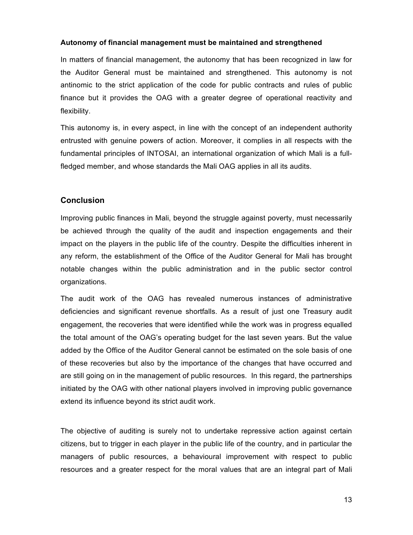# **Autonomy of financial management must be maintained and strengthened**

In matters of financial management, the autonomy that has been recognized in law for the Auditor General must be maintained and strengthened. This autonomy is not antinomic to the strict application of the code for public contracts and rules of public finance but it provides the OAG with a greater degree of operational reactivity and flexibility.

This autonomy is, in every aspect, in line with the concept of an independent authority entrusted with genuine powers of action. Moreover, it complies in all respects with the fundamental principles of INTOSAI, an international organization of which Mali is a fullfledged member, and whose standards the Mali OAG applies in all its audits.

# **Conclusion**

Improving public finances in Mali, beyond the struggle against poverty, must necessarily be achieved through the quality of the audit and inspection engagements and their impact on the players in the public life of the country. Despite the difficulties inherent in any reform, the establishment of the Office of the Auditor General for Mali has brought notable changes within the public administration and in the public sector control organizations.

The audit work of the OAG has revealed numerous instances of administrative deficiencies and significant revenue shortfalls. As a result of just one Treasury audit engagement, the recoveries that were identified while the work was in progress equalled the total amount of the OAG's operating budget for the last seven years. But the value added by the Office of the Auditor General cannot be estimated on the sole basis of one of these recoveries but also by the importance of the changes that have occurred and are still going on in the management of public resources. In this regard, the partnerships initiated by the OAG with other national players involved in improving public governance extend its influence beyond its strict audit work.

The objective of auditing is surely not to undertake repressive action against certain citizens, but to trigger in each player in the public life of the country, and in particular the managers of public resources, a behavioural improvement with respect to public resources and a greater respect for the moral values that are an integral part of Mali